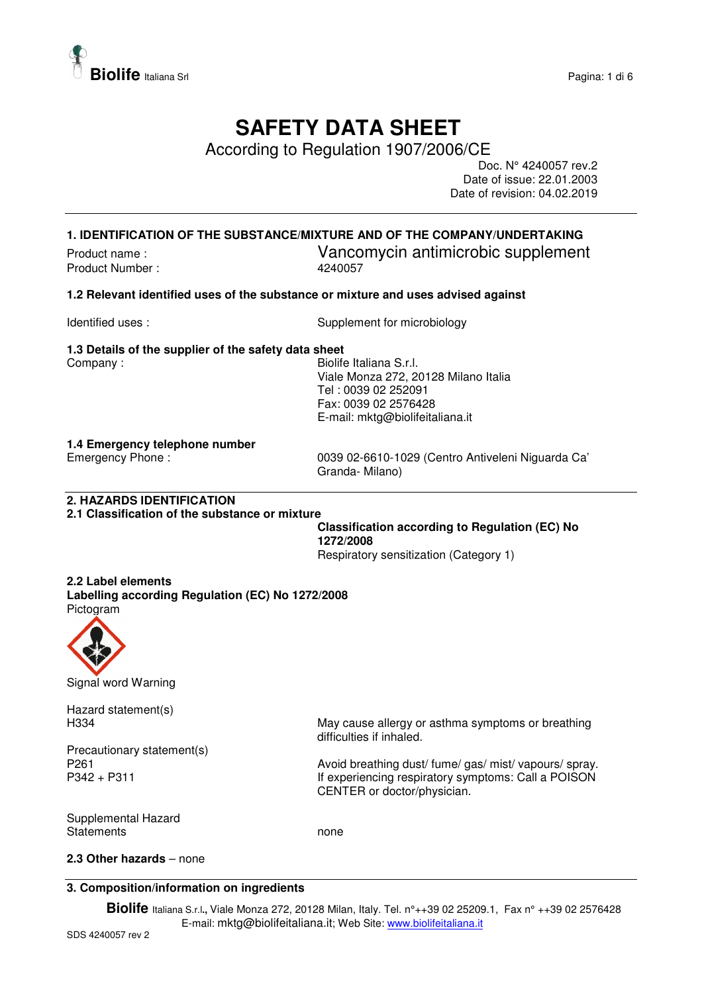

## **SAFETY DATA SHEET**

According to Regulation 1907/2006/CE

Doc. N° 4240057 rev.2 Date of issue: 22.01.2003 Date of revision: 04.02.2019

#### **1. IDENTIFICATION OF THE SUBSTANCE/MIXTURE AND OF THE COMPANY/UNDERTAKING**

Product Number :

# Product name :<br>
Product Number : 
24240057<br>
Product Number : 
240057

#### **1.2 Relevant identified uses of the substance or mixture and uses advised against**

Identified uses : Supplement for microbiology

#### **1.3 Details of the supplier of the safety data sheet**

Company : Company : General Manual Company : Biolife Italiana S.r.l. Viale Monza 272, 20128 Milano Italia Tel : 0039 02 252091 Fax: 0039 02 2576428 E-mail: mktg@biolifeitaliana.it

## **1.4 Emergency telephone number**

0039 02-6610-1029 (Centro Antiveleni Niguarda Ca' Granda- Milano)

#### **2. HAZARDS IDENTIFICATION**

**2.1 Classification of the substance or mixture** 

**Classification according to Regulation (EC) No 1272/2008** 

Respiratory sensitization (Category 1)

#### **2.2 Label elements**

**Labelling according Regulation (EC) No 1272/2008**  Pictogram



Signal word Warning

Hazard statement(s)

Precautionary statement(s)

H334 May cause allergy or asthma symptoms or breathing difficulties if inhaled.

P261 **Avoid breathing dust/ fume/ gas/ mist/ vapours/ spray.** Avoid breathing dust/ fume/ gas/ mist/ vapours/ spray. P342 + P311 **If experiencing respiratory symptoms: Call a POISON** CENTER or doctor/physician.

Supplemental Hazard Statements **none** 

#### **2.3 Other hazards** – none

#### **3. Composition/information on ingredients**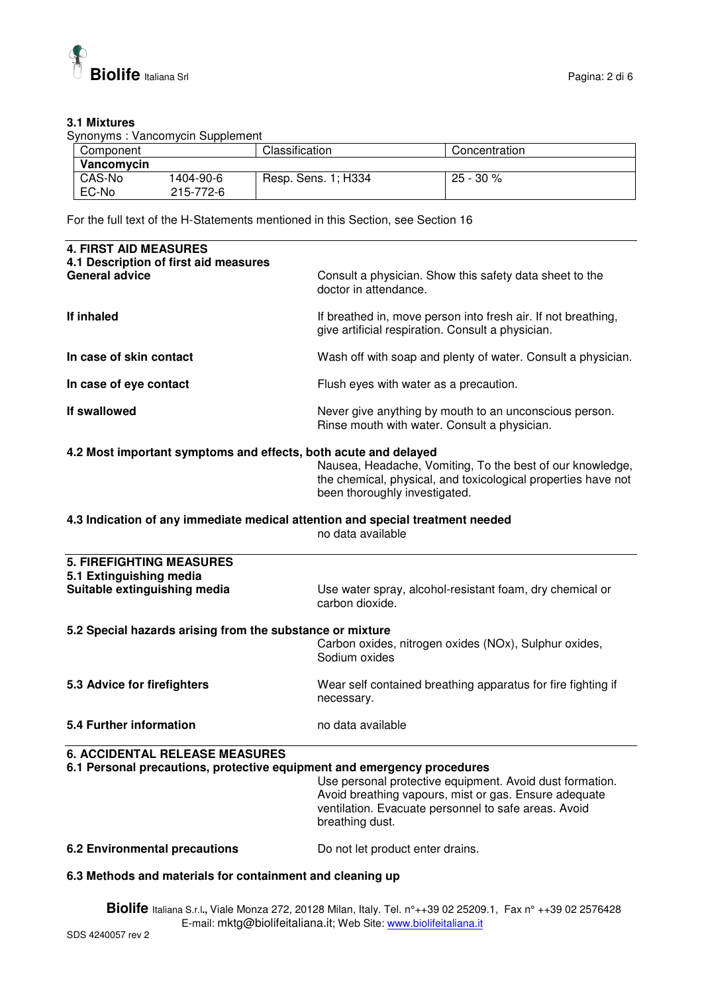

#### **3.1 Mixtures**

Synonyms : Vancomycin Supplement

| Component  |           | Classification      | Concentration |
|------------|-----------|---------------------|---------------|
| Vancomycin |           |                     |               |
| CAS-No     | 1404-90-6 | Resp. Sens. 1; H334 | 25 - 30 %     |
| EC-No      | 215-772-6 |                     |               |

For the full text of the H-Statements mentioned in this Section, see Section 16

| <b>4. FIRST AID MEASURES</b><br>4.1 Description of first aid measures                                            |                                                                                                                                                                                              |
|------------------------------------------------------------------------------------------------------------------|----------------------------------------------------------------------------------------------------------------------------------------------------------------------------------------------|
| <b>General advice</b>                                                                                            | Consult a physician. Show this safety data sheet to the<br>doctor in attendance.                                                                                                             |
| If inhaled                                                                                                       | If breathed in, move person into fresh air. If not breathing,<br>give artificial respiration. Consult a physician.                                                                           |
| In case of skin contact                                                                                          | Wash off with soap and plenty of water. Consult a physician.                                                                                                                                 |
| In case of eye contact                                                                                           | Flush eyes with water as a precaution.                                                                                                                                                       |
| If swallowed                                                                                                     | Never give anything by mouth to an unconscious person.<br>Rinse mouth with water. Consult a physician.                                                                                       |
| 4.2 Most important symptoms and effects, both acute and delayed                                                  | Nausea, Headache, Vomiting, To the best of our knowledge,<br>the chemical, physical, and toxicological properties have not<br>been thoroughly investigated.                                  |
| 4.3 Indication of any immediate medical attention and special treatment needed                                   | no data available                                                                                                                                                                            |
| <b>5. FIREFIGHTING MEASURES</b>                                                                                  |                                                                                                                                                                                              |
| 5.1 Extinguishing media<br>Suitable extinguishing media                                                          | Use water spray, alcohol-resistant foam, dry chemical or<br>carbon dioxide.                                                                                                                  |
| 5.2 Special hazards arising from the substance or mixture                                                        |                                                                                                                                                                                              |
|                                                                                                                  | Carbon oxides, nitrogen oxides (NOx), Sulphur oxides,<br>Sodium oxides                                                                                                                       |
| 5.3 Advice for firefighters                                                                                      | Wear self contained breathing apparatus for fire fighting if<br>necessary.                                                                                                                   |
| 5.4 Further information                                                                                          | no data available                                                                                                                                                                            |
| <b>6. ACCIDENTAL RELEASE MEASURES</b><br>6.1 Personal precautions, protective equipment and emergency procedures | Use personal protective equipment. Avoid dust formation.<br>Avoid breathing vapours, mist or gas. Ensure adequate<br>ventilation. Evacuate personnel to safe areas. Avoid<br>breathing dust. |
| <b>6.2 Environmental precautions</b>                                                                             | Do not let product enter drains.                                                                                                                                                             |

#### **6.3 Methods and materials for containment and cleaning up**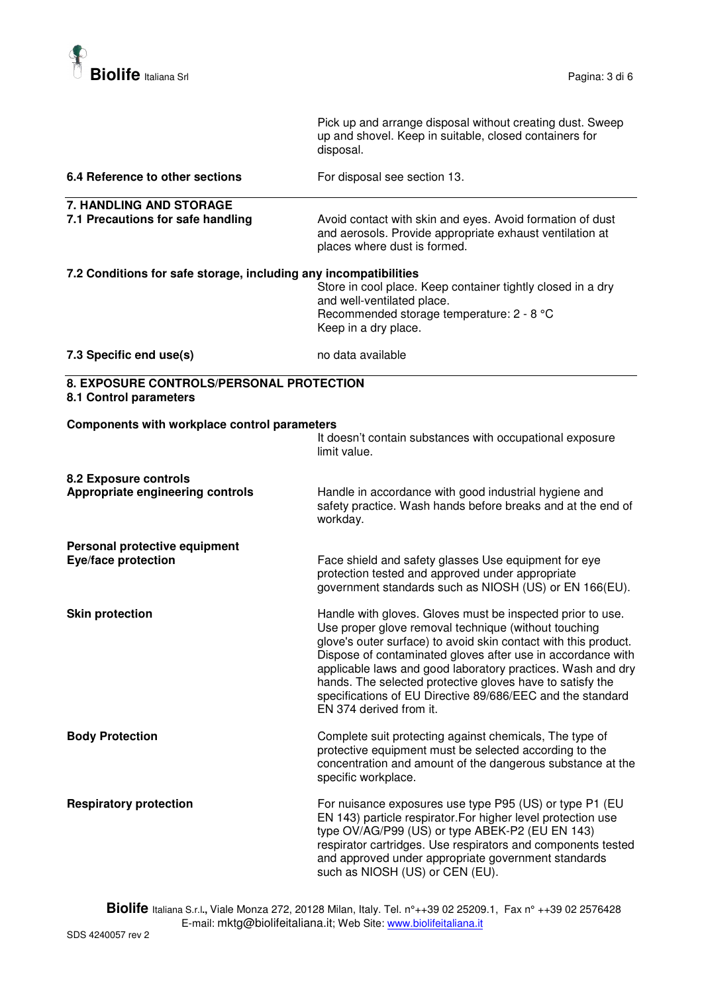

|                                                                    | Pick up and arrange disposal without creating dust. Sweep<br>up and shovel. Keep in suitable, closed containers for<br>disposal.                                                                                                                                                                                                                                                                                                                                          |
|--------------------------------------------------------------------|---------------------------------------------------------------------------------------------------------------------------------------------------------------------------------------------------------------------------------------------------------------------------------------------------------------------------------------------------------------------------------------------------------------------------------------------------------------------------|
| 6.4 Reference to other sections                                    | For disposal see section 13.                                                                                                                                                                                                                                                                                                                                                                                                                                              |
| 7. HANDLING AND STORAGE                                            |                                                                                                                                                                                                                                                                                                                                                                                                                                                                           |
| 7.1 Precautions for safe handling                                  | Avoid contact with skin and eyes. Avoid formation of dust<br>and aerosols. Provide appropriate exhaust ventilation at<br>places where dust is formed.                                                                                                                                                                                                                                                                                                                     |
| 7.2 Conditions for safe storage, including any incompatibilities   | Store in cool place. Keep container tightly closed in a dry<br>and well-ventilated place.<br>Recommended storage temperature: 2 - 8 °C<br>Keep in a dry place.                                                                                                                                                                                                                                                                                                            |
| 7.3 Specific end use(s)                                            | no data available                                                                                                                                                                                                                                                                                                                                                                                                                                                         |
| 8. EXPOSURE CONTROLS/PERSONAL PROTECTION<br>8.1 Control parameters |                                                                                                                                                                                                                                                                                                                                                                                                                                                                           |
| <b>Components with workplace control parameters</b>                | It doesn't contain substances with occupational exposure<br>limit value.                                                                                                                                                                                                                                                                                                                                                                                                  |
| 8.2 Exposure controls<br>Appropriate engineering controls          | Handle in accordance with good industrial hygiene and<br>safety practice. Wash hands before breaks and at the end of<br>workday.                                                                                                                                                                                                                                                                                                                                          |
| Personal protective equipment<br><b>Eye/face protection</b>        | Face shield and safety glasses Use equipment for eye<br>protection tested and approved under appropriate<br>government standards such as NIOSH (US) or EN 166(EU).                                                                                                                                                                                                                                                                                                        |
| <b>Skin protection</b>                                             | Handle with gloves. Gloves must be inspected prior to use.<br>Use proper glove removal technique (without touching<br>glove's outer surface) to avoid skin contact with this product.<br>Dispose of contaminated gloves after use in accordance with<br>applicable laws and good laboratory practices. Wash and dry<br>hands. The selected protective gloves have to satisfy the<br>specifications of EU Directive 89/686/EEC and the standard<br>EN 374 derived from it. |
| <b>Body Protection</b>                                             | Complete suit protecting against chemicals, The type of<br>protective equipment must be selected according to the<br>concentration and amount of the dangerous substance at the<br>specific workplace.                                                                                                                                                                                                                                                                    |
| <b>Respiratory protection</b>                                      | For nuisance exposures use type P95 (US) or type P1 (EU<br>EN 143) particle respirator. For higher level protection use<br>type OV/AG/P99 (US) or type ABEK-P2 (EU EN 143)<br>respirator cartridges. Use respirators and components tested<br>and approved under appropriate government standards<br>such as NIOSH (US) or CEN (EU).                                                                                                                                      |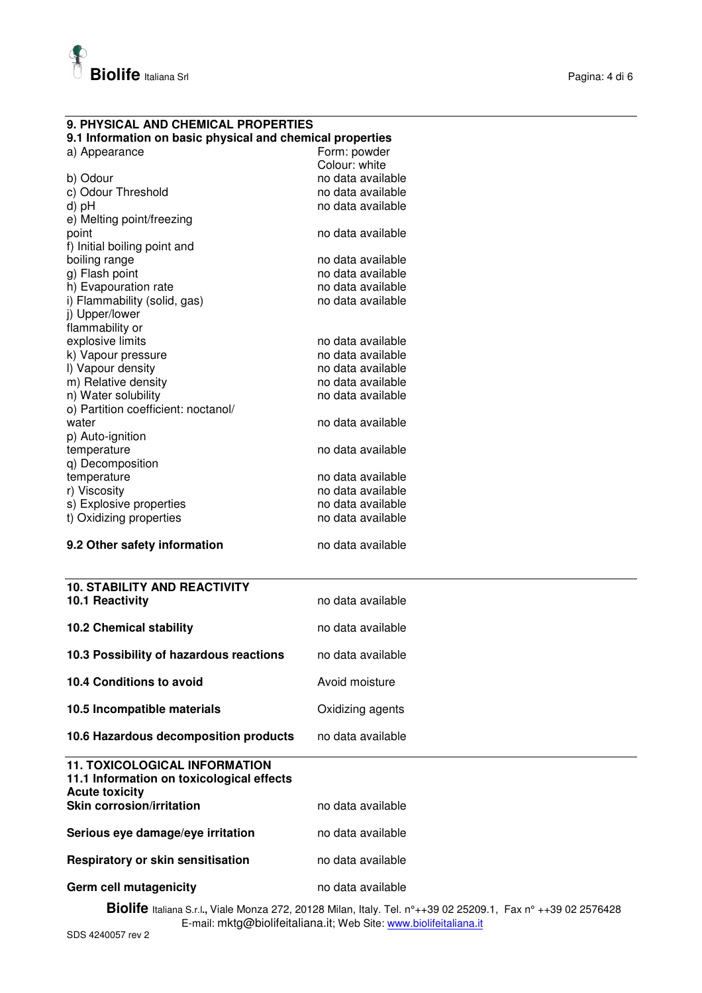

### **9. PHYSICAL AND CHEMICAL PROPERTIES**

#### **9.1 Information on basic physical and chemical properties**

| Form: powder      |
|-------------------|
| Colour: white     |
| no data available |
| no data available |
| no data available |
|                   |
| no data available |
|                   |
| no data available |
| no data available |
| no data available |
| no data available |
|                   |
|                   |
| no data available |
| no data available |
| no data available |
| no data available |
| no data available |
|                   |
| no data available |
|                   |
| no data available |
|                   |
| no data available |
| no data available |
| no data available |
| no data available |
| no data available |
|                   |
| no data available |
|                   |
| no data available |
|                   |
| no data available |
|                   |
| Avoid moisture    |
|                   |
| Oxidizing agents  |
|                   |
|                   |
| no data available |
|                   |
|                   |
|                   |
|                   |
| no data available |
| no data available |
|                   |
| no data available |
|                   |
|                   |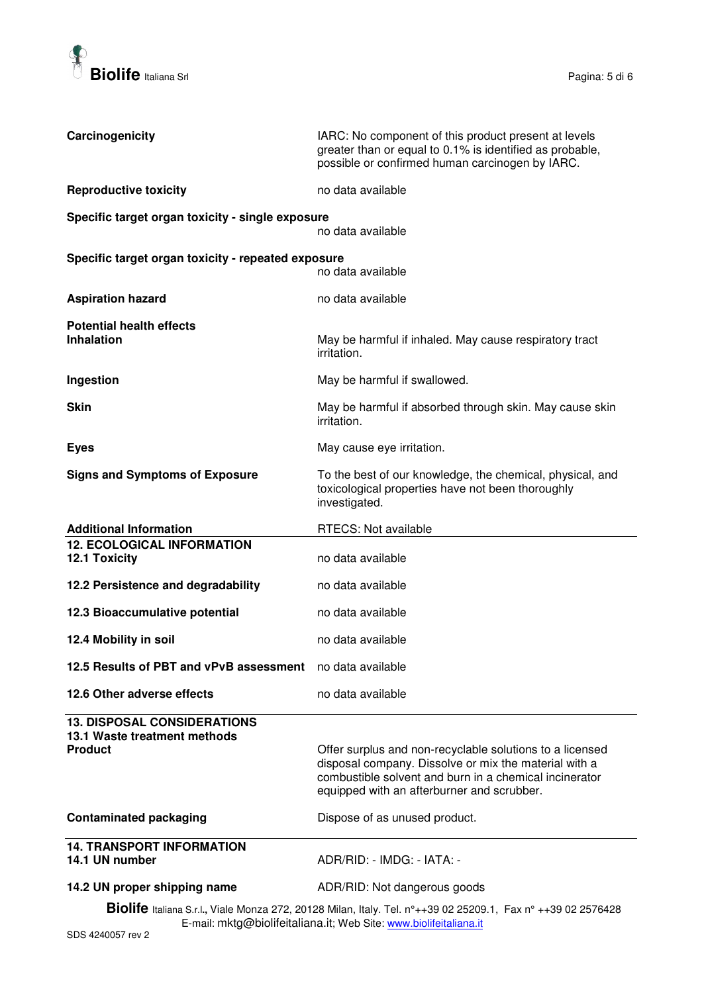

| Carcinogenicity                                                                      | IARC: No component of this product present at levels<br>greater than or equal to 0.1% is identified as probable,<br>possible or confirmed human carcinogen by IARC.                                                       |
|--------------------------------------------------------------------------------------|---------------------------------------------------------------------------------------------------------------------------------------------------------------------------------------------------------------------------|
| <b>Reproductive toxicity</b>                                                         | no data available                                                                                                                                                                                                         |
| Specific target organ toxicity - single exposure                                     | no data available                                                                                                                                                                                                         |
| Specific target organ toxicity - repeated exposure                                   | no data available                                                                                                                                                                                                         |
| <b>Aspiration hazard</b>                                                             | no data available                                                                                                                                                                                                         |
| <b>Potential health effects</b><br><b>Inhalation</b>                                 | May be harmful if inhaled. May cause respiratory tract<br>irritation.                                                                                                                                                     |
| Ingestion                                                                            | May be harmful if swallowed.                                                                                                                                                                                              |
| <b>Skin</b>                                                                          | May be harmful if absorbed through skin. May cause skin<br>irritation.                                                                                                                                                    |
| <b>Eyes</b>                                                                          | May cause eye irritation.                                                                                                                                                                                                 |
| <b>Signs and Symptoms of Exposure</b>                                                | To the best of our knowledge, the chemical, physical, and<br>toxicological properties have not been thoroughly<br>investigated.                                                                                           |
| <b>Additional Information</b>                                                        | <b>RTECS: Not available</b>                                                                                                                                                                                               |
| <b>12. ECOLOGICAL INFORMATION</b><br><b>12.1 Toxicity</b>                            | no data available                                                                                                                                                                                                         |
| 12.2 Persistence and degradability                                                   | no data available                                                                                                                                                                                                         |
| 12.3 Bioaccumulative potential                                                       | no data available                                                                                                                                                                                                         |
| 12.4 Mobility in soil                                                                | no data available                                                                                                                                                                                                         |
| 12.5 Results of PBT and vPvB assessment no data available                            |                                                                                                                                                                                                                           |
| 12.6 Other adverse effects                                                           | no data available                                                                                                                                                                                                         |
| <b>13. DISPOSAL CONSIDERATIONS</b><br>13.1 Waste treatment methods<br><b>Product</b> | Offer surplus and non-recyclable solutions to a licensed<br>disposal company. Dissolve or mix the material with a<br>combustible solvent and burn in a chemical incinerator<br>equipped with an afterburner and scrubber. |
| <b>Contaminated packaging</b>                                                        | Dispose of as unused product.                                                                                                                                                                                             |
| <b>14. TRANSPORT INFORMATION</b><br>14.1 UN number                                   | ADR/RID: - IMDG: - IATA: -                                                                                                                                                                                                |
| 14.2 UN proper shipping name                                                         | ADR/RID: Not dangerous goods<br><b>Riolifo</b> telesco Cal Viole Menze 279, 20129 Milen, Italy Tel. 20, 20, 02, 25200, 1. Fay pt.                                                                                         |